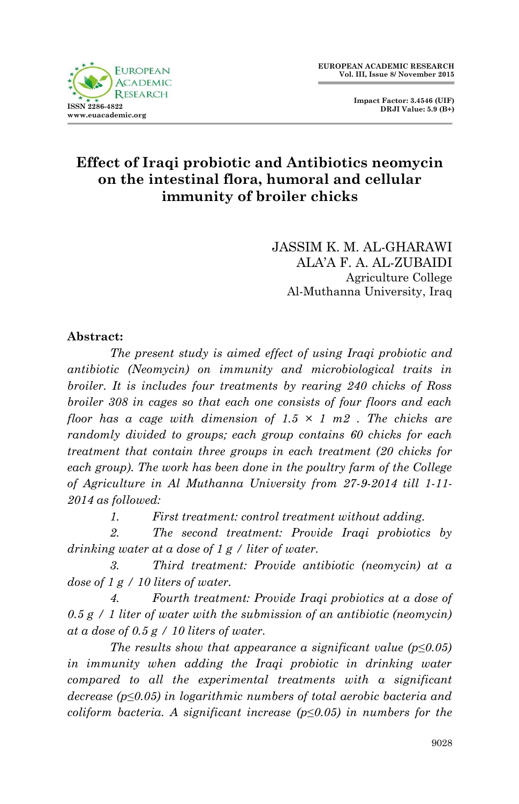

 **Impact Factor: 3.4546 (UIF) DRJI Value: 5.9 (B+)**

## **Effect of Iraqi probiotic and Antibiotics neomycin on the intestinal flora, humoral and cellular immunity of broiler chicks**

JASSIM K. M. AL-GHARAWI ALA'A F. A. AL-ZUBAIDI Agriculture College Al-Muthanna University, Iraq

#### **Abstract:**

*The present study is aimed effect of using Iraqi probiotic and antibiotic (Neomycin) on immunity and microbiological traits in broiler. It is includes four treatments by rearing 240 chicks of Ross broiler 308 in cages so that each one consists of four floors and each floor has a cage with dimension of 1.5 × 1 m2 . The chicks are randomly divided to groups; each group contains 60 chicks for each treatment that contain three groups in each treatment (20 chicks for each group). The work has been done in the poultry farm of the College of Agriculture in Al Muthanna University from 27-9-2014 till 1-11- 2014 as followed:*

*1. First treatment: control treatment without adding.* 

*2. The second treatment: Provide Iraqi probiotics by drinking water at a dose of 1 g / liter of water.* 

*3. Third treatment: Provide antibiotic (neomycin) at a dose of 1 g / 10 liters of water.* 

*4. Fourth treatment: Provide Iraqi probiotics at a dose of 0.5 g / 1 liter of water with the submission of an antibiotic (neomycin) at a dose of 0.5 g / 10 liters of water.* 

*The results show that appearance a significant value (p≤0.05) in immunity when adding the Iraqi probiotic in drinking water compared to all the experimental treatments with a significant decrease (p≤0.05) in logarithmic numbers of total aerobic bacteria and coliform bacteria. A significant increase (p≤0.05) in numbers for the*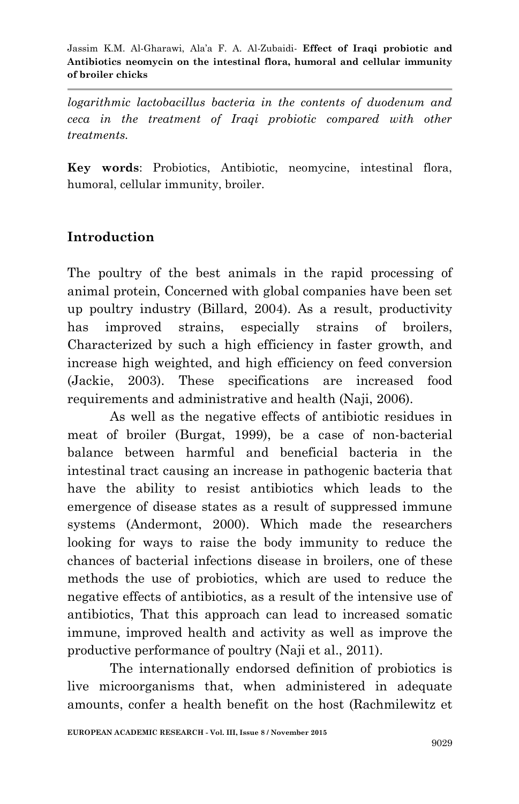*logarithmic lactobacillus bacteria in the contents of duodenum and ceca in the treatment of Iraqi probiotic compared with other treatments.*

**Key words**: Probiotics, Antibiotic, neomycine, intestinal flora, humoral, cellular immunity, broiler.

# **Introduction**

The poultry of the best animals in the rapid processing of animal protein, Concerned with global companies have been set up poultry industry (Billard, 2004). As a result, productivity has improved strains, especially strains of broilers, Characterized by such a high efficiency in faster growth, and increase high weighted, and high efficiency on feed conversion (Jackie, 2003). These specifications are increased food requirements and administrative and health (Naji, 2006).

As well as the negative effects of antibiotic residues in meat of broiler (Burgat, 1999), be a case of non-bacterial balance between harmful and beneficial bacteria in the intestinal tract causing an increase in pathogenic bacteria that have the ability to resist antibiotics which leads to the emergence of disease states as a result of suppressed immune systems (Andermont, 2000). Which made the researchers looking for ways to raise the body immunity to reduce the chances of bacterial infections disease in broilers, one of these methods the use of probiotics, which are used to reduce the negative effects of antibiotics, as a result of the intensive use of antibiotics, That this approach can lead to increased somatic immune, improved health and activity as well as improve the productive performance of poultry (Naji et al., 2011).

The internationally endorsed definition of probiotics is live microorganisms that, when administered in adequate amounts, confer a health benefit on the host (Rachmilewitz et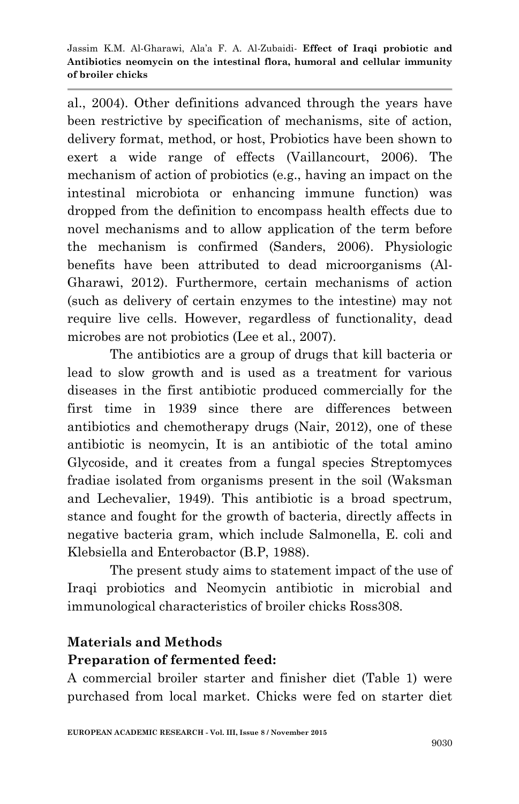al., 2004). Other definitions advanced through the years have been restrictive by specification of mechanisms, site of action, delivery format, method, or host, Probiotics have been shown to exert a wide range of effects (Vaillancourt, 2006). The mechanism of action of probiotics (e.g., having an impact on the intestinal microbiota or enhancing immune function) was dropped from the definition to encompass health effects due to novel mechanisms and to allow application of the term before the mechanism is confirmed (Sanders, 2006). Physiologic benefits have been attributed to dead microorganisms (Al-Gharawi, 2012). Furthermore, certain mechanisms of action (such as delivery of certain enzymes to the intestine) may not require live cells. However, regardless of functionality, dead microbes are not probiotics (Lee et al., 2007).

The antibiotics are a group of drugs that kill bacteria or lead to slow growth and is used as a treatment for various diseases in the first antibiotic produced commercially for the first time in 1939 since there are differences between antibiotics and chemotherapy drugs (Nair, 2012), one of these antibiotic is neomycin, It is an antibiotic of the total amino Glycoside, and it creates from a fungal species Streptomyces fradiae isolated from organisms present in the soil (Waksman and Lechevalier, 1949). This antibiotic is a broad spectrum, stance and fought for the growth of bacteria, directly affects in negative bacteria gram, which include Salmonella, E. coli and Klebsiella and Enterobactor (B.P, 1988).

The present study aims to statement impact of the use of Iraqi probiotics and Neomycin antibiotic in microbial and immunological characteristics of broiler chicks Ross308.

### **Materials and Methods**

### **Preparation of fermented feed:**

A commercial broiler starter and finisher diet (Table 1) were purchased from local market. Chicks were fed on starter diet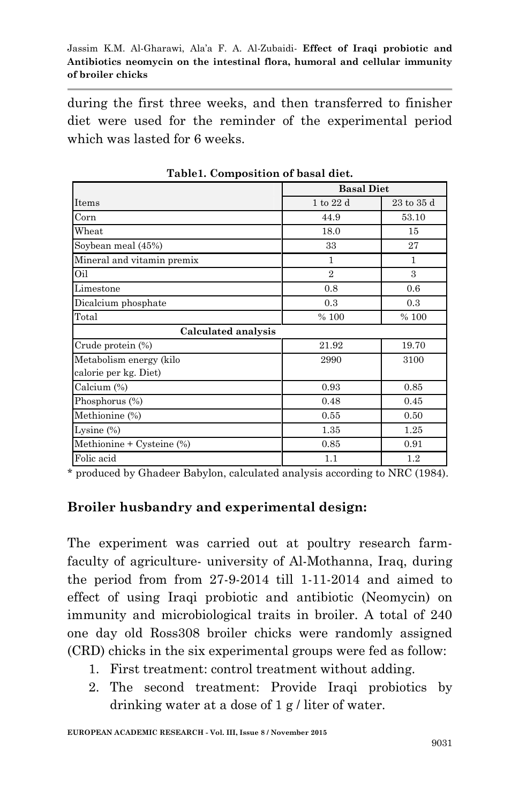during the first three weeks, and then transferred to finisher diet were used for the reminder of the experimental period which was lasted for 6 weeks.

|                            | <b>Basal Diet</b> |                |  |  |  |
|----------------------------|-------------------|----------------|--|--|--|
| <b>Items</b>               | 1 to 22 d         | $23$ to $35$ d |  |  |  |
| Corn                       | 44.9              | 53.10          |  |  |  |
| Wheat                      | 18.0              | 15             |  |  |  |
| Soybean meal (45%)         | 33                | 27             |  |  |  |
| Mineral and vitamin premix | 1                 | 1              |  |  |  |
| Oil                        | $\overline{2}$    | 3              |  |  |  |
| Limestone                  | 0.8               | 0.6            |  |  |  |
| Dicalcium phosphate        | 0.3               | 0.3            |  |  |  |
| Total                      | % 100             | % 100          |  |  |  |
| Calculated analysis        |                   |                |  |  |  |
| Crude protein (%)          | 21.92             | 19.70          |  |  |  |
| Metabolism energy (kilo    | 2990              | 3100           |  |  |  |
| calorie per kg. Diet)      |                   |                |  |  |  |
| Calcium (%)                | 0.93              | 0.85           |  |  |  |
| Phosphorus (%)             | 0.48              | 0.45           |  |  |  |
| Methionine (%)             | 0.55              | 0.50           |  |  |  |
| Lysine $(\%)$              | 1.35              | 1.25           |  |  |  |
| Methionine + Cysteine (%)  | 0.85              | 0.91           |  |  |  |
| Folic acid                 | 1.1               | 1.2            |  |  |  |

**Table1. Composition of basal diet.**

\* produced by Ghadeer Babylon, calculated analysis according to NRC (1984).

### **Broiler husbandry and experimental design:**

The experiment was carried out at poultry research farmfaculty of agriculture- university of Al-Mothanna, Iraq, during the period from from 27-9-2014 till 1-11-2014 and aimed to effect of using Iraqi probiotic and antibiotic (Neomycin) on immunity and microbiological traits in broiler. A total of 240 one day old Ross308 broiler chicks were randomly assigned (CRD) chicks in the six experimental groups were fed as follow:

- 1. First treatment: control treatment without adding.
- 2. The second treatment: Provide Iraqi probiotics by drinking water at a dose of 1 g / liter of water.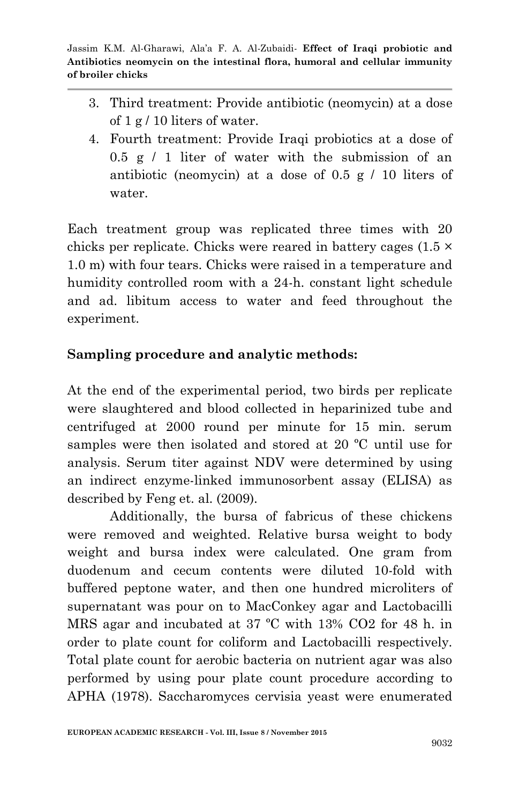- 3. Third treatment: Provide antibiotic (neomycin) at a dose of 1 g / 10 liters of water.
- 4. Fourth treatment: Provide Iraqi probiotics at a dose of  $0.5 \times 1$  liter of water with the submission of an antibiotic (neomycin) at a dose of 0.5 g / 10 liters of water.

Each treatment group was replicated three times with 20 chicks per replicate. Chicks were reared in battery cages (1.5 × 1.0 m) with four tears. Chicks were raised in a temperature and humidity controlled room with a 24-h. constant light schedule and ad. libitum access to water and feed throughout the experiment.

## **Sampling procedure and analytic methods:**

At the end of the experimental period, two birds per replicate were slaughtered and blood collected in heparinized tube and centrifuged at 2000 round per minute for 15 min. serum samples were then isolated and stored at 20 ºC until use for analysis. Serum titer against NDV were determined by using an indirect enzyme-linked immunosorbent assay (ELISA) as described by Feng et. al. (2009).

Additionally, the bursa of fabricus of these chickens were removed and weighted. Relative bursa weight to body weight and bursa index were calculated. One gram from duodenum and cecum contents were diluted 10-fold with buffered peptone water, and then one hundred microliters of supernatant was pour on to MacConkey agar and Lactobacilli MRS agar and incubated at 37 ºC with 13% CO2 for 48 h. in order to plate count for coliform and Lactobacilli respectively. Total plate count for aerobic bacteria on nutrient agar was also performed by using pour plate count procedure according to APHA (1978). Saccharomyces cervisia yeast were enumerated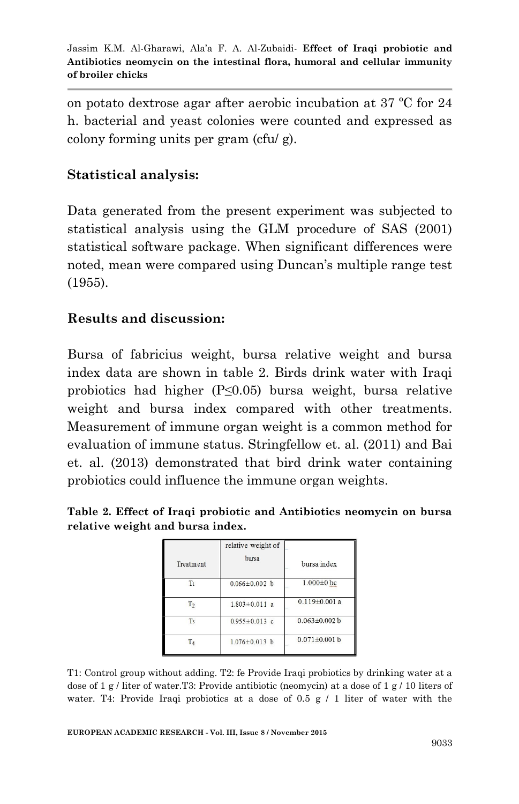on potato dextrose agar after aerobic incubation at 37 ºC for 24 h. bacterial and yeast colonies were counted and expressed as colony forming units per gram (cfu/ g).

# **Statistical analysis:**

Data generated from the present experiment was subjected to statistical analysis using the GLM procedure of SAS (2001) statistical software package. When significant differences were noted, mean were compared using Duncan's multiple range test (1955).

# **Results and discussion:**

Bursa of fabricius weight, bursa relative weight and bursa index data are shown in table 2. Birds drink water with Iraqi probiotics had higher (P≤0.05) bursa weight, bursa relative weight and bursa index compared with other treatments. Measurement of immune organ weight is a common method for evaluation of immune status. Stringfellow et. al. (2011) and Bai et. al. (2013) demonstrated that bird drink water containing probiotics could influence the immune organ weights.

|  |                                  | Table 2. Effect of Iraqi probiotic and Antibiotics neomycin on bursa |  |  |
|--|----------------------------------|----------------------------------------------------------------------|--|--|
|  | relative weight and bursa index. |                                                                      |  |  |

|                | relative weight of  |                     |
|----------------|---------------------|---------------------|
| Treatment      | bursa               | bursa index         |
| T <sub>1</sub> | $0.066 \pm 0.002$ b | $1.000 \pm 0$ bc    |
| T <sub>2</sub> | $1.803 \pm 0.011$ a | $0.119 \pm 0.001$ a |
| T <sub>3</sub> | $0.955 \pm 0.013$ c | $0.063 \pm 0.002$ b |
| $T_A$          | $1.076 \pm 0.013$ b | $0.071 \pm 0.001$ b |

T1: Control group without adding. T2: fe Provide Iraqi probiotics by drinking water at a dose of 1 g / liter of water.T3: Provide antibiotic (neomycin) at a dose of 1 g / 10 liters of water. T4: Provide Iraqi probiotics at a dose of  $0.5 \text{ g} / 1$  liter of water with the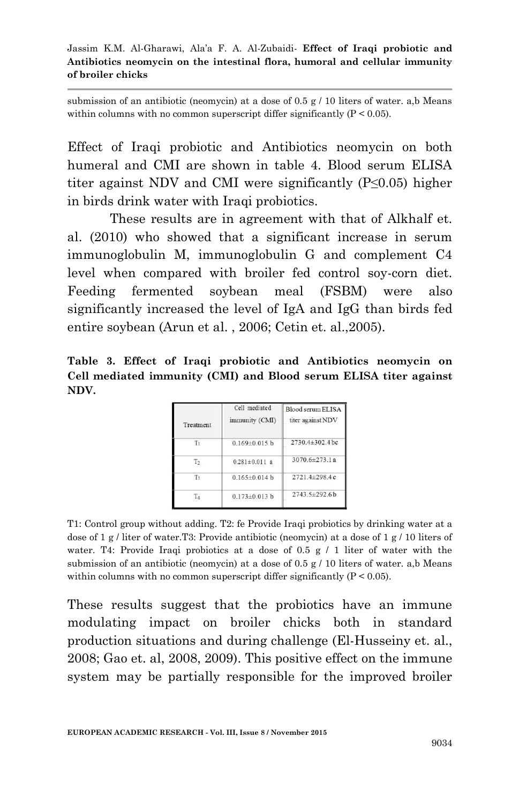submission of an antibiotic (neomycin) at a dose of 0.5  $g / 10$  liters of water. a,b Means within columns with no common superscript differ significantly  $(P \le 0.05)$ .

Effect of Iraqi probiotic and Antibiotics neomycin on both humeral and CMI are shown in table 4. Blood serum ELISA titer against NDV and CMI were significantly (P≤0.05) higher in birds drink water with Iraqi probiotics.

These results are in agreement with that of Alkhalf et. al. (2010) who showed that a significant increase in serum immunoglobulin M, immunoglobulin G and complement C4 level when compared with broiler fed control soy-corn diet. Feeding fermented soybean meal (FSBM) were also significantly increased the level of IgA and IgG than birds fed entire soybean (Arun et al. , 2006; Cetin et. al.,2005).

**Table 3. Effect of Iraqi probiotic and Antibiotics neomycin on Cell mediated immunity (CMI) and Blood serum ELISA titer against NDV.**

| Treatment      | Cell mediated<br>immunity (CMI) | Blood serum ELISA<br>titer against NDV |  |  |
|----------------|---------------------------------|----------------------------------------|--|--|
| T <sub>1</sub> | $0.169 \pm 0.015$ b             | $2730.4 \pm 302.4$ bc                  |  |  |
| T <sub>2</sub> | $0.281 \pm 0.011$ a             | $3070.6 \pm 273.1 a$                   |  |  |
| T <sub>3</sub> | $0.165 \pm 0.014$ b             | $2721.4 \pm 298.4c$                    |  |  |
|                | $0.173 \pm 0.013$ b             | 2743.5±292.6b                          |  |  |

T1: Control group without adding. T2: fe Provide Iraqi probiotics by drinking water at a dose of 1 g / liter of water.T3: Provide antibiotic (neomycin) at a dose of 1 g / 10 liters of water. T4: Provide Iraqi probiotics at a dose of 0.5  $g / 1$  liter of water with the submission of an antibiotic (neomycin) at a dose of 0.5 g  $/$  10 liters of water. a,b Means within columns with no common superscript differ significantly  $(P < 0.05)$ .

These results suggest that the probiotics have an immune modulating impact on broiler chicks both in standard production situations and during challenge (El-Husseiny et. al., 2008; Gao et. al, 2008, 2009). This positive effect on the immune system may be partially responsible for the improved broiler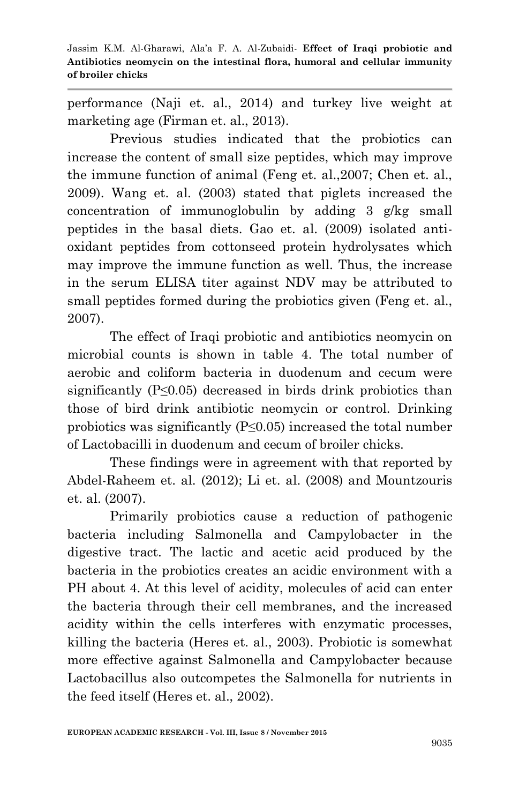performance (Naji et. al., 2014) and turkey live weight at marketing age (Firman et. al., 2013).

Previous studies indicated that the probiotics can increase the content of small size peptides, which may improve the immune function of animal (Feng et. al.,2007; Chen et. al., 2009). Wang et. al. (2003) stated that piglets increased the concentration of immunoglobulin by adding 3 g/kg small peptides in the basal diets. Gao et. al. (2009) isolated antioxidant peptides from cottonseed protein hydrolysates which may improve the immune function as well. Thus, the increase in the serum ELISA titer against NDV may be attributed to small peptides formed during the probiotics given (Feng et. al., 2007).

The effect of Iraqi probiotic and antibiotics neomycin on microbial counts is shown in table 4. The total number of aerobic and coliform bacteria in duodenum and cecum were significantly (P≤0.05) decreased in birds drink probiotics than those of bird drink antibiotic neomycin or control. Drinking probiotics was significantly  $(P \le 0.05)$  increased the total number of Lactobacilli in duodenum and cecum of broiler chicks.

These findings were in agreement with that reported by Abdel-Raheem et. al. (2012); Li et. al. (2008) and Mountzouris et. al. (2007).

Primarily probiotics cause a reduction of pathogenic bacteria including Salmonella and Campylobacter in the digestive tract. The lactic and acetic acid produced by the bacteria in the probiotics creates an acidic environment with a PH about 4. At this level of acidity, molecules of acid can enter the bacteria through their cell membranes, and the increased acidity within the cells interferes with enzymatic processes, killing the bacteria (Heres et. al., 2003). Probiotic is somewhat more effective against Salmonella and Campylobacter because Lactobacillus also outcompetes the Salmonella for nutrients in the feed itself (Heres et. al., 2002).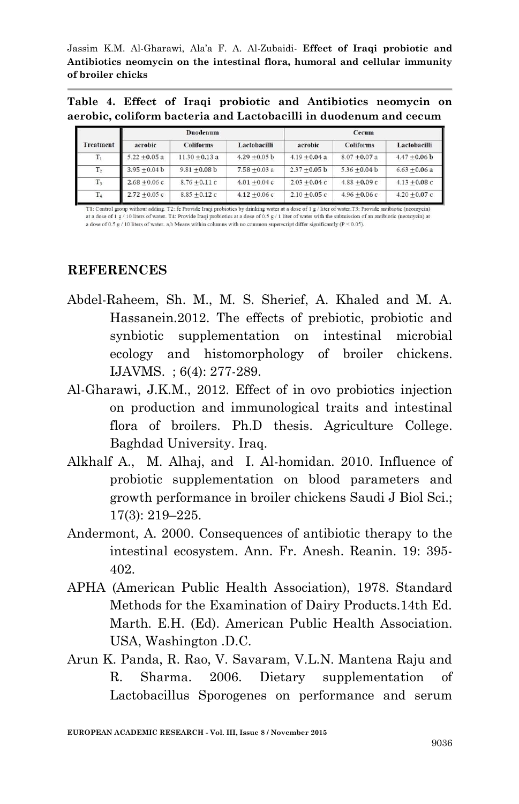**Table 4. Effect of Iraqi probiotic and Antibiotics neomycin on aerobic, coliform bacteria and Lactobacilli in duodenum and cecum**

|                  | Duodenum        |                  |                 | Cecum           |                  |                 |  |
|------------------|-----------------|------------------|-----------------|-----------------|------------------|-----------------|--|
| <b>Treatment</b> | aerobic         | <b>Coliforms</b> | Lactobacilli    | aerobic         | <b>Coliforms</b> | Lactobacilli    |  |
| $T_1$            | $5.22 + 0.05$ a | $11.30 + 0.13$ a | $4.29 + 0.05$ b | $4.19 + 0.04$ a | $8.07 + 0.07$ a  | $4.47 + 0.06 b$ |  |
| $\mathrm{T}_2$   | $3.95 + 0.04 b$ | $9.81 + 0.08$ b  | $7.58 + 0.03$ a | $2.37 + 0.05$ b | $5.36 + 0.04 b$  | $6.63 + 0.06$ a |  |
| $T_3$            | $2.68 + 0.06c$  | $8.76 + 0.11c$   | $4.01 + 0.04c$  | $2.03 + 0.04c$  | $4.88 + 0.09c$   | $4.13 + 0.08c$  |  |
| $\rm T_4$        | $2.72 + 0.05c$  | $8.85 + 0.12c$   | $4.12 + 0.06c$  | $2.10 + 0.05c$  | $4.96 + 0.06c$   | $4.20 + 0.07c$  |  |

T1: Control group without adding. T2: fe Provide Iraqi probiotics by drinking water at a dose of 1 g / liter of water. T3: Provide antibiotic (neomycin) at a dose of 1 g / 10 liters of water. T4: Provide Iraqi probiotics at a dose of 0.5 g / 1 liter of water with the submission of an antibiotic (neomycin) at a dose of 0.5 g / 10 liters of water. a,b Means within columns with no common superscript differ significantly ( $P < 0.05$ ).

#### **REFERENCES**

- Abdel-Raheem, Sh. M., M. S. Sherief, A. Khaled and M. A. Hassanein.2012. The effects of prebiotic, probiotic and synbiotic supplementation on intestinal microbial ecology and histomorphology of broiler chickens. IJAVMS. ; 6(4): 277-289.
- Al-Gharawi, J.K.M., 2012. Effect of in ovo probiotics injection on production and immunological traits and intestinal flora of broilers. Ph.D thesis. Agriculture College. Baghdad University. Iraq.
- Alkhalf A., M. Alhaj, and I. Al-homidan. 2010. Influence of probiotic supplementation on blood parameters and growth performance in broiler chickens Saudi J Biol Sci.; 17(3): 219–225.
- Andermont, A. 2000. Consequences of antibiotic therapy to the intestinal ecosystem. Ann. Fr. Anesh. Reanin. 19: 395- 402.
- APHA (American Public Health Association), 1978. Standard Methods for the Examination of Dairy Products.14th Ed. Marth. E.H. (Ed). American Public Health Association. USA, Washington .D.C.
- Arun K. Panda, R. Rao, V. Savaram, V.L.N. Mantena Raju and R. Sharma. 2006. Dietary supplementation of Lactobacillus Sporogenes on performance and serum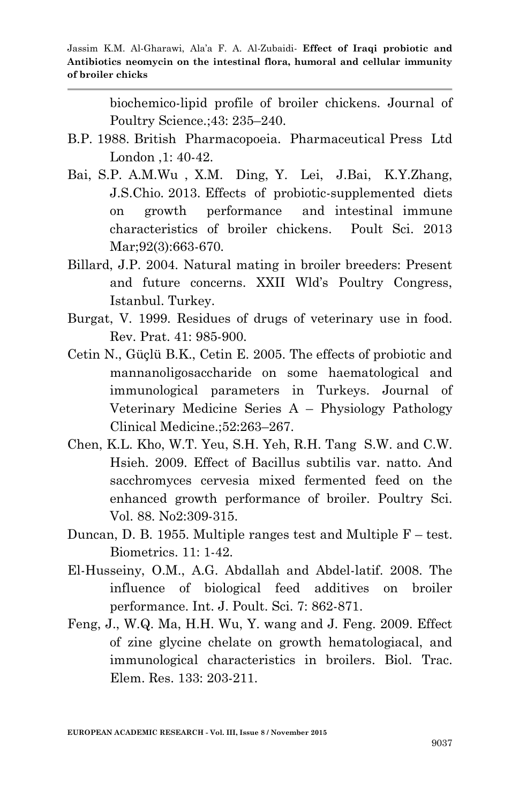biochemico-lipid profile of broiler chickens. Journal of Poultry Science.;43: 235–240.

- B.P. 1988. British Pharmacopoeia. Pharmaceutical Press Ltd London ,1: 40-42.
- Bai, S.P. A.M.Wu , X.M. Ding, Y. Lei, J.Bai, K.Y.Zhang, J.S.Chio. 2013. Effects of probiotic-supplemented diets on growth performance and intestinal immune characteristics of broiler chickens. Poult Sci. 2013 Mar: 92(3): 663-670.
- Billard, J.P. 2004. Natural mating in broiler breeders: Present and future concerns. XXII Wld's Poultry Congress, Istanbul. Turkey.
- Burgat, V. 1999. Residues of drugs of veterinary use in food. Rev. Prat. 41: 985-900.
- Cetin N., Güçlü B.K., Cetin E. 2005. The effects of probiotic and mannanoligosaccharide on some haematological and immunological parameters in Turkeys. Journal of Veterinary Medicine Series A – Physiology Pathology Clinical Medicine.;52:263–267.
- Chen, K.L. Kho, W.T. Yeu, S.H. Yeh, R.H. Tang S.W. and C.W. Hsieh. 2009. Effect of Bacillus subtilis var. natto. And sacchromyces cervesia mixed fermented feed on the enhanced growth performance of broiler. Poultry Sci. Vol. 88. No2:309-315.
- Duncan, D. B. 1955. Multiple ranges test and Multiple F test. Biometrics. 11: 1-42.
- El-Husseiny, O.M., A.G. Abdallah and Abdel-latif. 2008. The influence of biological feed additives on broiler performance. Int. J. Poult. Sci. 7: 862-871.
- Feng, J., W.Q. Ma, H.H. Wu, Y. wang and J. Feng. 2009. Effect of zine glycine chelate on growth hematologiacal, and immunological characteristics in broilers. Biol. Trac. Elem. Res. 133: 203-211.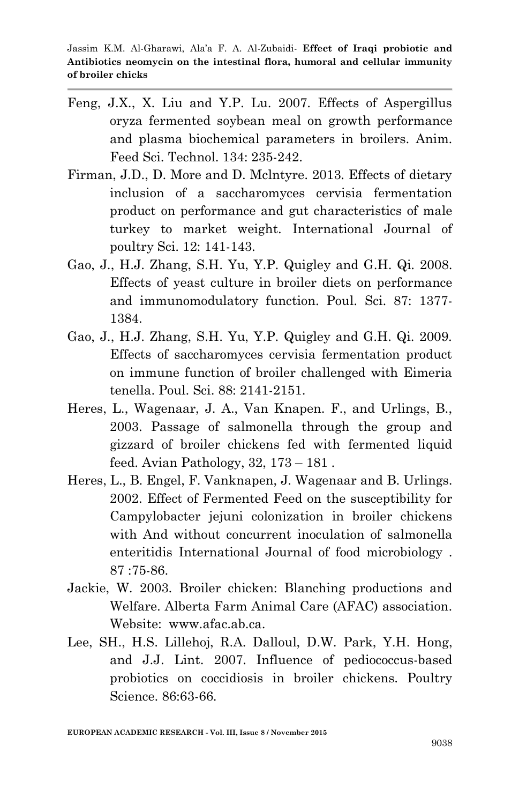- Feng, J.X., X. Liu and Y.P. Lu. 2007. Effects of Aspergillus oryza fermented soybean meal on growth performance and plasma biochemical parameters in broilers. Anim. Feed Sci. Technol. 134: 235-242.
- Firman, J.D., D. More and D. Mclntyre. 2013. Effects of dietary inclusion of a saccharomyces cervisia fermentation product on performance and gut characteristics of male turkey to market weight. International Journal of poultry Sci. 12: 141-143.
- Gao, J., H.J. Zhang, S.H. Yu, Y.P. Quigley and G.H. Qi. 2008. Effects of yeast culture in broiler diets on performance and immunomodulatory function. Poul. Sci. 87: 1377- 1384.
- Gao, J., H.J. Zhang, S.H. Yu, Y.P. Quigley and G.H. Qi. 2009. Effects of saccharomyces cervisia fermentation product on immune function of broiler challenged with Eimeria tenella. Poul. Sci. 88: 2141-2151.
- Heres, L., Wagenaar, J. A., Van Knapen. F., and Urlings, B., 2003. Passage of salmonella through the group and gizzard of broiler chickens fed with fermented liquid feed. Avian Pathology, 32, 173 – 181 .
- Heres, L., B. Engel, F. Vanknapen, J. Wagenaar and B. Urlings. 2002. Effect of Fermented Feed on the susceptibility for Campylobacter jejuni colonization in broiler chickens with And without concurrent inoculation of salmonella enteritidis International Journal of food microbiology . 87 :75-86.
- Jackie, W. 2003. Broiler chicken: Blanching productions and Welfare. Alberta Farm Animal Care (AFAC) association. Website: www.afac.ab.ca.
- Lee, SH., H.S. Lillehoj, R.A. Dalloul, D.W. Park, Y.H. Hong, and J.J. Lint. 2007. Influence of pediococcus-based probiotics on coccidiosis in broiler chickens. Poultry Science. 86:63-66.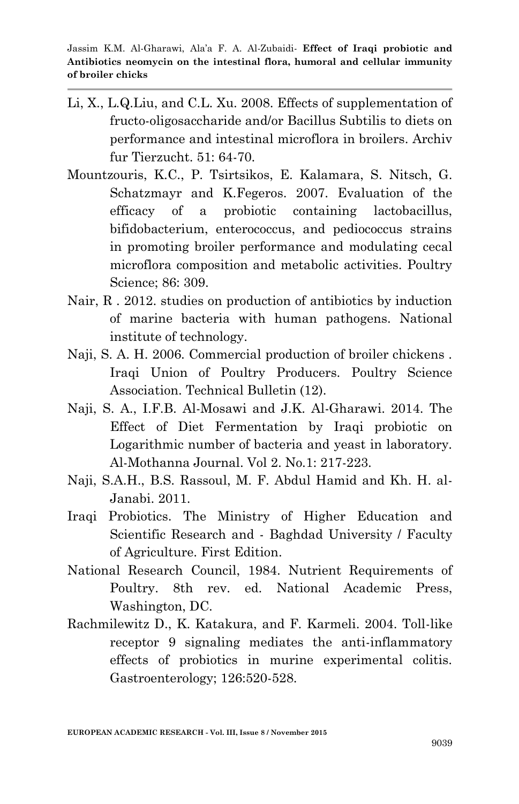- Li, X., L.Q.Liu, and C.L. Xu. 2008. Effects of supplementation of fructo-oligosaccharide and/or Bacillus Subtilis to diets on performance and intestinal microflora in broilers. Archiv fur Tierzucht. 51: 64-70.
- Mountzouris, K.C., P. Tsirtsikos, E. Kalamara, S. Nitsch, G. Schatzmayr and K.Fegeros. 2007. Evaluation of the efficacy of a probiotic containing lactobacillus, bifidobacterium, enterococcus, and pediococcus strains in promoting broiler performance and modulating cecal microflora composition and metabolic activities. Poultry Science; 86: 309.
- Nair, R . 2012. studies on production of antibiotics by induction of marine bacteria with human pathogens. National institute of technology.
- Naji, S. A. H. 2006. Commercial production of broiler chickens . Iraqi Union of Poultry Producers. Poultry Science Association. Technical Bulletin (12).
- Naji, S. A., I.F.B. Al-Mosawi and J.K. Al-Gharawi. 2014. The Effect of Diet Fermentation by Iraqi probiotic on Logarithmic number of bacteria and yeast in laboratory. Al-Mothanna Journal. Vol 2. No.1: 217-223.
- Naji, S.A.H., B.S. Rassoul, M. F. Abdul Hamid and Kh. H. al-Janabi. 2011.
- Iraqi Probiotics. The Ministry of Higher Education and Scientific Research and - Baghdad University / Faculty of Agriculture. First Edition.
- National Research Council, 1984. Nutrient Requirements of Poultry. 8th rev. ed. National Academic Press, Washington, DC.
- Rachmilewitz D., K. Katakura, and F. Karmeli. 2004. Toll-like receptor 9 signaling mediates the anti-inflammatory effects of probiotics in murine experimental colitis. Gastroenterology; 126:520-528.